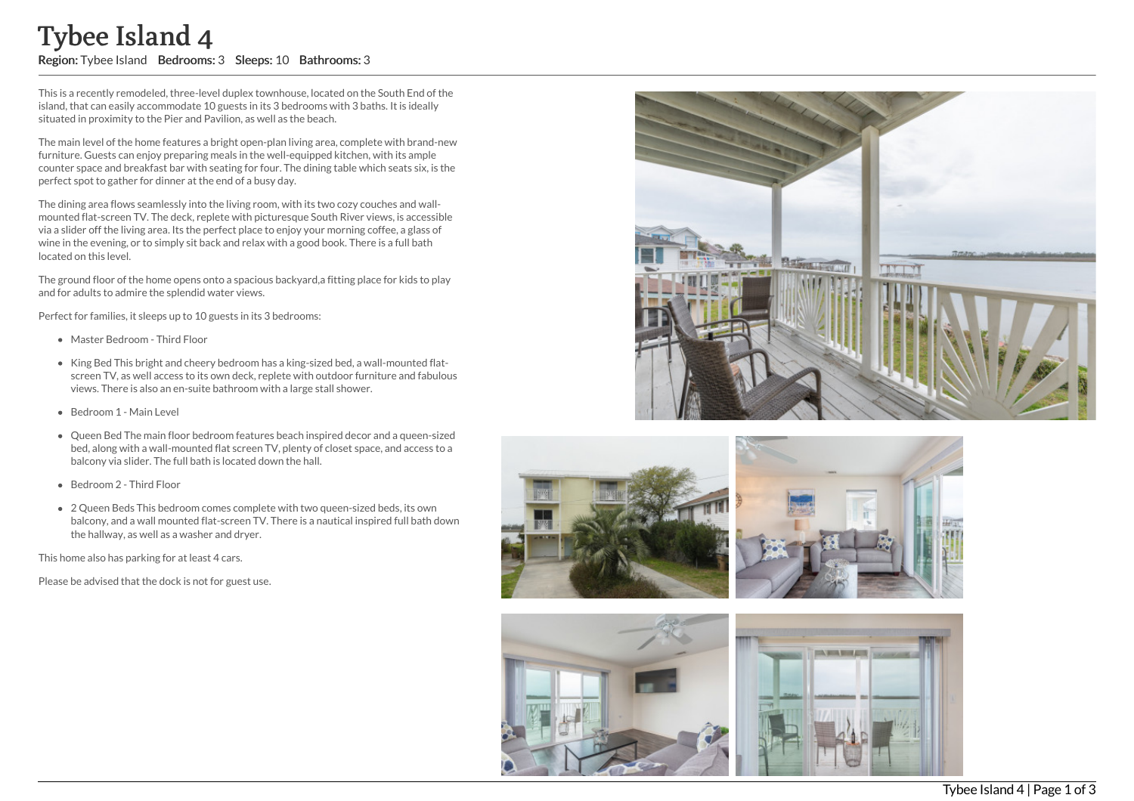## Tybee Island 4

## Region: Tybee Island Bedrooms: 3 Sleeps: 10 Bathrooms: 3

This is a recently remodeled, three-level duplex townhouse, located on the South End of the island, that can easily accommodate 10 guests in its 3 bedrooms with 3 baths. It is ideally situated in proximity to the Pier and Pavilion, as well as the beach.

The main level of the home features a bright open-plan living area, complete with brand-new furniture. Guests can enjoy preparing meals in the well-equipped kitchen, with its ample counter space and breakfast bar with seating for four. The dining table which seats six, is the perfect spot to gather for dinner at the end of a busy day.

The dining area flows seamlessly into the living room, with its two cozy couches and wallmounted flat-screen TV. The deck, replete with picturesque South River views, is accessible via a slider off the living area. Its the perfect place to enjoy your morning coffee, a glass of wine in the evening, or to simply sit back and relax with a good book. There is a full bath located on this level.

The ground floor of the home opens onto a spacious backyard,a fitting place for kids to play and for adults to admire the splendid water views.

Perfect for families, it sleeps up to 10 guests in its 3 bedrooms:

- Master Bedroom Third Floor
- King Bed This bright and cheery bedroom has a king-sized bed, a wall-mounted flatscreen TV, as well access to its own deck, replete with outdoor furniture and fabulous views. There is also an en-suite bathroom with a large stall shower.
- Bedroom 1 Main Level
- Queen Bed The main floor bedroom features beach inspired decor and a queen-sized bed, along with a wall-mounted flat screen TV, plenty of closet space, and access to a balcony via slider. The full bath is located down the hall.
- Bedroom 2 Third Floor
- 2 Queen Beds This bedroom comes complete with two queen-sized beds, its own balcony, and a wall mounted flat-screen TV. There is a nautical inspired full bath down the hallway, as well as a washer and dryer.

This home also has parking for at least 4 cars.

Please be advised that the dock is not for guest use.





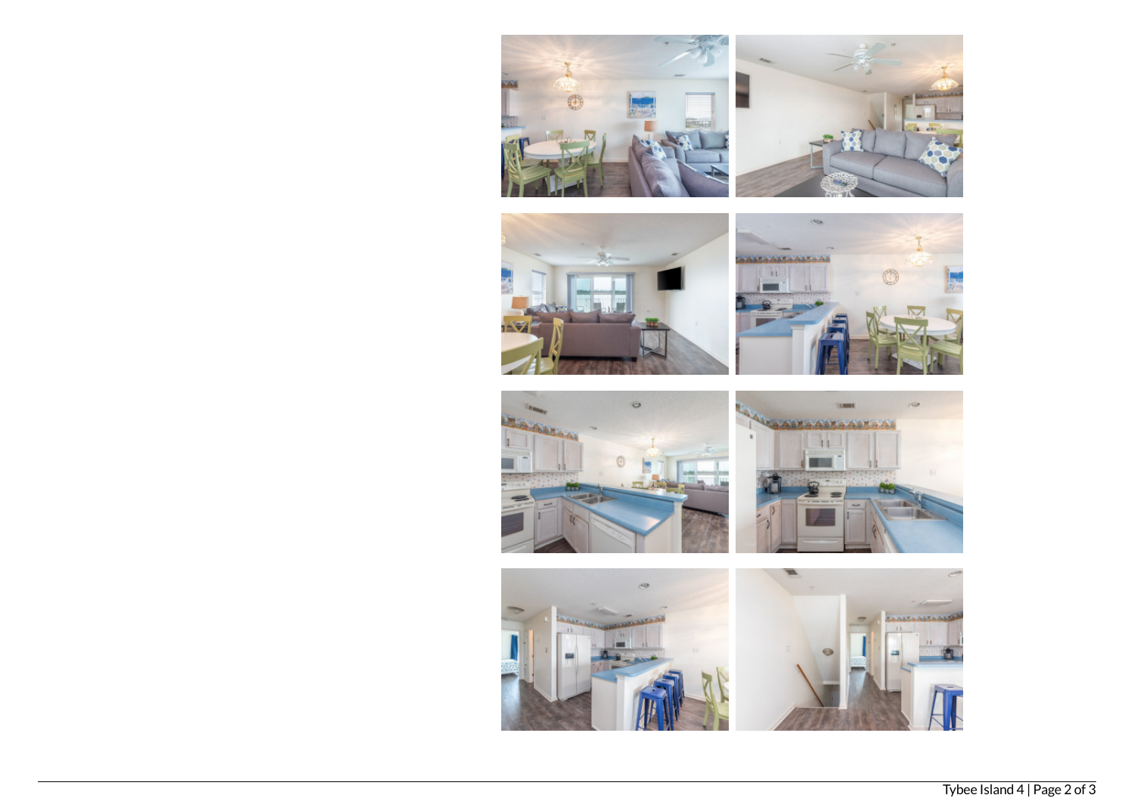